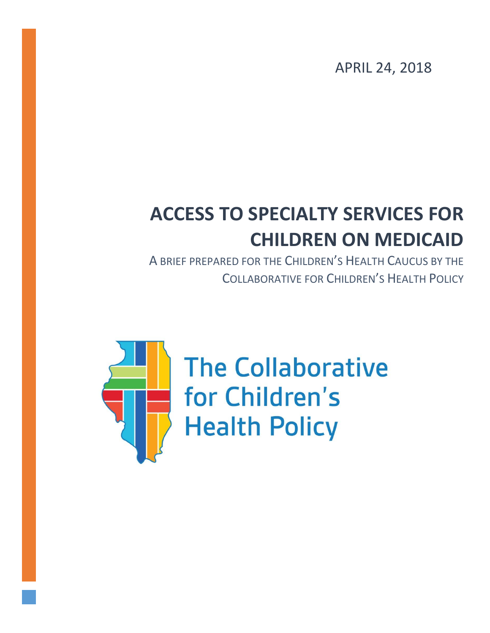APRIL 24, 2018

# **ACCESS TO SPECIALTY SERVICES FOR CHILDREN ON MEDICAID**

A BRIEF PREPARED FOR THE CHILDREN'S HEALTH CAUCUS BY THE COLLABORATIVE FOR CHILDREN'S HEALTH POLICY



**The Collaborative** for Children's **Health Policy**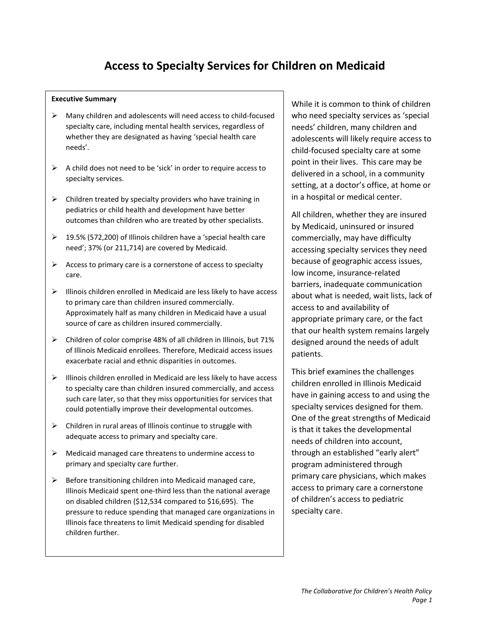# **Access to Specialty Services for Children on Medicaid**

#### **Executive Summary**

- $\triangleright$  Many children and adolescents will need access to child-focused specialty care, including mental health services, regardless of whether they are designated as having 'special health care needs'.
- $\triangleright$  A child does not need to be 'sick' in order to require access to specialty services.
- $\triangleright$  Children treated by specialty providers who have training in pediatrics or child health and development have better outcomes than children who are treated by other specialists.
- 19.5% (572,200) of Illinois children have a 'special health care need'; 37% (or 211,714) are covered by Medicaid.
- $\triangleright$  Access to primary care is a cornerstone of access to specialty care.
- $\triangleright$  Illinois children enrolled in Medicaid are less likely to have access to primary care than children insured commercially. Approximately half as many children in Medicaid have a usual source of care as children insured commercially.
- $\triangleright$  Children of color comprise 48% of all children in Illinois, but 71% of Illinois Medicaid enrollees. Therefore, Medicaid access issues exacerbate racial and ethnic disparities in outcomes.
- $\triangleright$  Illinois children enrolled in Medicaid are less likely to have access to specialty care than children insured commercially, and access such care later, so that they miss opportunities for services that could potentially improve their developmental outcomes.
- $\triangleright$  Children in rural areas of Illinois continue to struggle with adequate access to primary and specialty care.
- $\triangleright$  Medicaid managed care threatens to undermine access to primary and specialty care further.
- $\triangleright$  Before transitioning children into Medicaid managed care, Illinois Medicaid spent one-third less than the national average on disabled children (\$12,534 compared to \$16,695). The pressure to reduce spending that managed care organizations in Illinois face threatens to limit Medicaid spending for disabled children further.

While it is common to think of children who need specialty services as 'special needs' children, many children and adolescents will likely require access to child-focused specialty care at some point in their lives. This care may be delivered in a school, in a community setting, at a doctor's office, at home or in a hospital or medical center.

All children, whether they are insured by Medicaid, uninsured or insured commercially, may have difficulty accessing specialty services they need because of geographic access issues, low income, insurance-related barriers, inadequate communication about what is needed, wait lists, lack of access to and availability of appropriate primary care, or the fact that our health system remains largely designed around the needs of adult patients.

This brief examines the challenges children enrolled in Illinois Medicaid have in gaining access to and using the specialty services designed for them. One of the great strengths of Medicaid is that it takes the developmental needs of children into account, through an established "early alert" program administered through primary care physicians, which makes access to primary care a cornerstone of children's access to pediatric specialty care.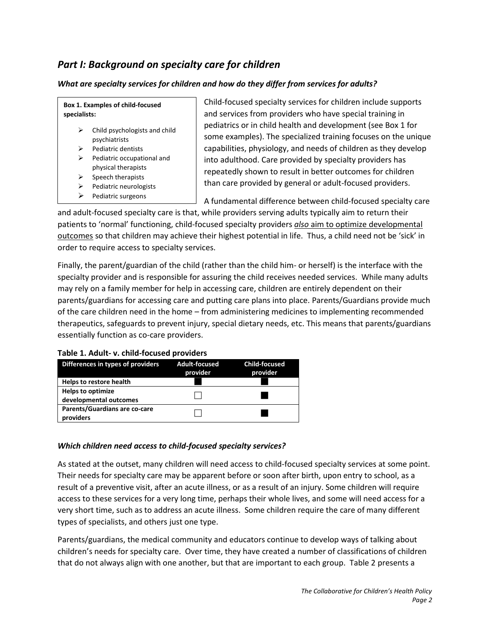# *Part I: Background on specialty care for children*

#### *What are specialty services for children and how do they differ from services for adults?*

**Box 1. Examples of child-focused specialists:**

- $\triangleright$  Child psychologists and child psychiatrists
- Pediatric dentists
- $\triangleright$  Pediatric occupational and physical therapists
- Speech therapists
- $\triangleright$  Pediatric neurologists
- $\triangleright$  Pediatric surgeons

Child-focused specialty services for children include supports and services from providers who have special training in pediatrics or in child health and development (see Box 1 for some examples). The specialized training focuses on the unique capabilities, physiology, and needs of children as they develop into adulthood. Care provided by specialty providers has repeatedly shown to result in better outcomes for children than care provided by general or adult-focused providers.

A fundamental difference between child-focused specialty care

and adult-focused specialty care is that, while providers serving adults typically aim to return their patients to 'normal' functioning, child-focused specialty providers *also* aim to optimize developmental outcomes so that children may achieve their highest potential in life. Thus, a child need not be 'sick' in order to require access to specialty services.

Finally, the parent/guardian of the child (rather than the child him- or herself) is the interface with the specialty provider and is responsible for assuring the child receives needed services. While many adults may rely on a family member for help in accessing care, children are entirely dependent on their parents/guardians for accessing care and putting care plans into place. Parents/Guardians provide much of the care children need in the home – from administering medicines to implementing recommended therapeutics, safeguards to prevent injury, special dietary needs, etc. This means that parents/guardians essentially function as co-care providers.

#### **Table 1. Adult- v. child-focused providers**

| Differences in types of providers                  | <b>Adult-focused</b><br>provider | <b>Child-focused</b><br>provider |
|----------------------------------------------------|----------------------------------|----------------------------------|
| Helps to restore health                            |                                  |                                  |
| <b>Helps to optimize</b><br>developmental outcomes |                                  |                                  |
| Parents/Guardians are co-care<br>providers         |                                  |                                  |

#### *Which children need access to child-focused specialty services?*

As stated at the outset, many children will need access to child-focused specialty services at some point. Their needs for specialty care may be apparent before or soon after birth, upon entry to school, as a result of a preventive visit, after an acute illness, or as a result of an injury. Some children will require access to these services for a very long time, perhaps their whole lives, and some will need access for a very short time, such as to address an acute illness. Some children require the care of many different types of specialists, and others just one type.

Parents/guardians, the medical community and educators continue to develop ways of talking about children's needs for specialty care. Over time, they have created a number of classifications of children that do not always align with one another, but that are important to each group. Table 2 presents a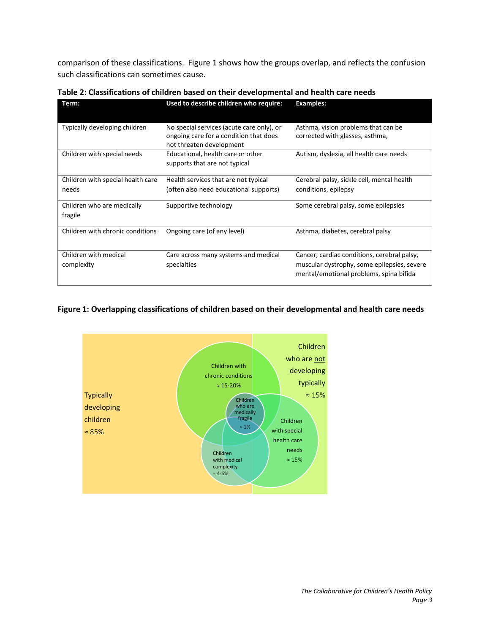comparison of these classifications. Figure 1 shows how the groups overlap, and reflects the confusion such classifications can sometimes cause.

| Term:                                      | Used to describe children who require:                                                                          | <b>Examples:</b>                                                                                                                      |
|--------------------------------------------|-----------------------------------------------------------------------------------------------------------------|---------------------------------------------------------------------------------------------------------------------------------------|
| Typically developing children              | No special services (acute care only), or<br>ongoing care for a condition that does<br>not threaten development | Asthma, vision problems that can be<br>corrected with glasses, asthma,                                                                |
| Children with special needs                | Educational, health care or other<br>supports that are not typical                                              | Autism, dyslexia, all health care needs                                                                                               |
| Children with special health care<br>needs | Health services that are not typical<br>(often also need educational supports)                                  | Cerebral palsy, sickle cell, mental health<br>conditions, epilepsy                                                                    |
| Children who are medically<br>fragile      | Supportive technology                                                                                           | Some cerebral palsy, some epilepsies                                                                                                  |
| Children with chronic conditions           | Ongoing care (of any level)                                                                                     | Asthma, diabetes, cerebral palsy                                                                                                      |
| Children with medical<br>complexity        | Care across many systems and medical<br>specialties                                                             | Cancer, cardiac conditions, cerebral palsy,<br>muscular dystrophy, some epilepsies, severe<br>mental/emotional problems, spina bifida |

**Table 2: Classifications of children based on their developmental and health care needs** 

#### **Figure 1: Overlapping classifications of children based on their developmental and health care needs**

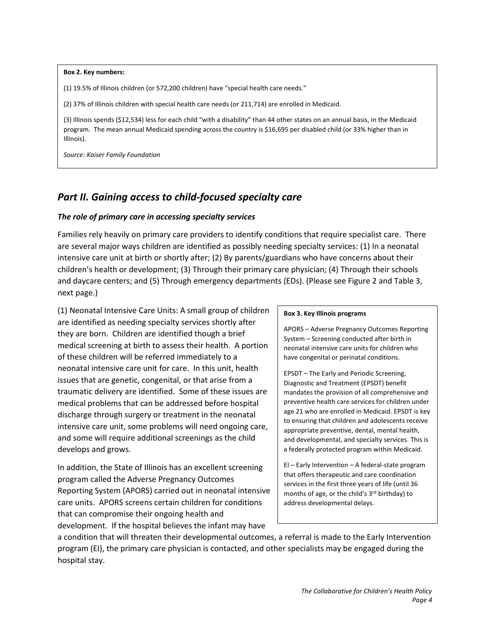#### **Box 2. Key numbers:**

(1) 19.5% of Illinois children (or 572,200 children) have "special health care needs."

(2) 37% of Illinois children with special health care needs (or 211,714) are enrolled in Medicaid.

(3) Illinois spends (\$12,534) less for each child "with a disability" than 44 other states on an annual basis, in the Medicaid program. The mean annual Medicaid spending across the country is \$16,695 per disabled child (or 33% higher than in Illinois).

*Source: Kaiser Family Foundation*

# *Part II. Gaining access to child-focused specialty care*

#### *The role of primary care in accessing specialty services*

Families rely heavily on primary care providers to identify conditions that require specialist care. There are several major ways children are identified as possibly needing specialty services: (1) In a neonatal intensive care unit at birth or shortly after; (2) By parents/guardians who have concerns about their children's health or development; (3) Through their primary care physician; (4) Through their schools and daycare centers; and (5) Through emergency departments (EDs). (Please see Figure 2 and Table 3, next page.)

(1) Neonatal Intensive Care Units: A small group of children are identified as needing specialty services shortly after they are born. Children are identified though a brief medical screening at birth to assess their health. A portion of these children will be referred immediately to a neonatal intensive care unit for care. In this unit, health issues that are genetic, congenital, or that arise from a traumatic delivery are identified. Some of these issues are medical problems that can be addressed before hospital discharge through surgery or treatment in the neonatal intensive care unit, some problems will need ongoing care, and some will require additional screenings as the child develops and grows.

In addition, the State of Illinois has an excellent screening program called the Adverse Pregnancy Outcomes Reporting System (APORS) carried out in neonatal intensive care units. APORS screens certain children for conditions that can compromise their ongoing health and development. If the hospital believes the infant may have

#### **Box 3. Key Illinois programs**

APORS – Adverse Pregnancy Outcomes Reporting System – Screening conducted after birth in neonatal intensive care units for children who have congenital or perinatal conditions.

EPSDT – The Early and Periodic Screening, Diagnostic and Treatment (EPSDT) benefit mandates the provision of all comprehensive and preventive health care services for children under age 21 who are enrolled in Medicaid. EPSDT is key to ensuring that children and adolescents receive appropriate preventive, dental, mental health, and developmental, and specialty services. This is a federally protected program within Medicaid.

EI – Early Intervention – A federal-state program that offers therapeutic and care coordination services in the first three years of life (until 36 months of age, or the child's 3rd birthday) to address developmental delays.

a condition that will threaten their developmental outcomes, a referral is made to the Early Intervention program (EI), the primary care physician is contacted, and other specialists may be engaged during the hospital stay.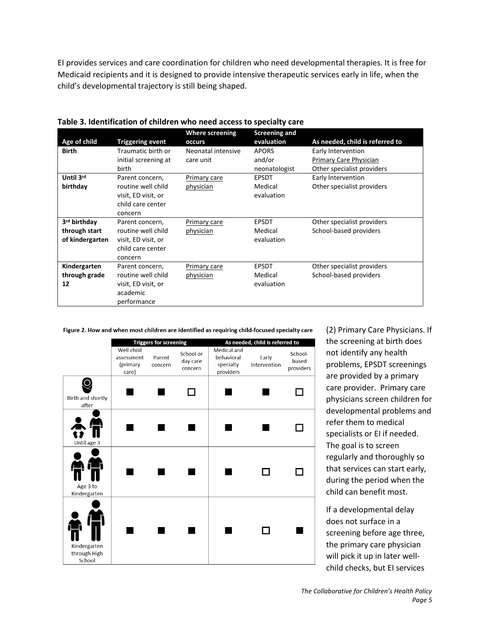EI provides services and care coordination for children who need developmental therapies. It is free for Medicaid recipients and it is designed to provide intensive therapeutic services early in life, when the child's developmental trajectory is still being shaped.

|                          |                         | <b>Where screening</b> | <b>Screening and</b> |                                 |
|--------------------------|-------------------------|------------------------|----------------------|---------------------------------|
| Age of child             | <b>Triggering event</b> | occurs                 | evaluation           | As needed, child is referred to |
| <b>Birth</b>             | Traumatic birth or      | Neonatal intensive     | <b>APORS</b>         | Early Intervention              |
|                          | initial screening at    | care unit              | and/or               | Primary Care Physician          |
|                          | birth                   |                        | neonatologist        | Other specialist providers      |
| Until 3rd                | Parent concern,         | Primary care           | <b>EPSDT</b>         | Early Intervention              |
| birthday                 | routine well child      | physician              | Medical              | Other specialist providers      |
|                          | visit, ED visit, or     |                        | evaluation           |                                 |
|                          | child care center       |                        |                      |                                 |
|                          | concern                 |                        |                      |                                 |
| 3 <sup>rd</sup> birthday | Parent concern,         | Primary care           | <b>EPSDT</b>         | Other specialist providers      |
| through start            | routine well child      | physician              | Medical              | School-based providers          |
| of kindergarten          | visit, ED visit, or     |                        | evaluation           |                                 |
|                          | child care center       |                        |                      |                                 |
|                          | concern                 |                        |                      |                                 |
| Kindergarten             | Parent concern,         | Primary care           | <b>EPSDT</b>         | Other specialist providers      |
| through grade            | routine well child      | physician              | Medical              | School-based providers          |
| 12                       | visit, ED visit, or     |                        | evaluation           |                                 |
|                          | academic                |                        |                      |                                 |
|                          | performance             |                        |                      |                                 |

**Table 3. Identification of children who need access to specialty care**

Figure 2. How and when most children are identified as requiring child-focused specialty care

|                                        | <b>Triggers for screening</b>                 |                   | As needed, child is referred to  |                                                     |                       |                               |
|----------------------------------------|-----------------------------------------------|-------------------|----------------------------------|-----------------------------------------------------|-----------------------|-------------------------------|
|                                        | Well child<br>assessment<br>(primary<br>care) | Parent<br>concern | School or<br>day care<br>concern | Medical and<br>behavioral<br>specialty<br>providers | Early<br>Intervention | School-<br>based<br>providers |
| Birth and shortly<br>after             |                                               |                   |                                  |                                                     |                       |                               |
| Until age 3                            |                                               |                   |                                  |                                                     |                       |                               |
| Age 3 to<br>Kindergarten               |                                               |                   |                                  |                                                     |                       |                               |
| Kindergarten<br>through High<br>School |                                               |                   |                                  |                                                     |                       |                               |

(2) Primary Care Physicians. If the screening at birth does not identify any health problems, EPSDT screenings are provided by a primary care provider. Primary care physicians screen children for developmental problems and refer them to medical specialists or EI if needed. The goal is to screen regularly and thoroughly so that services can start early, during the period when the child can benefit most.

If a developmental delay does not surface in a screening before age three, the primary care physician will pick it up in later wellchild checks, but EI services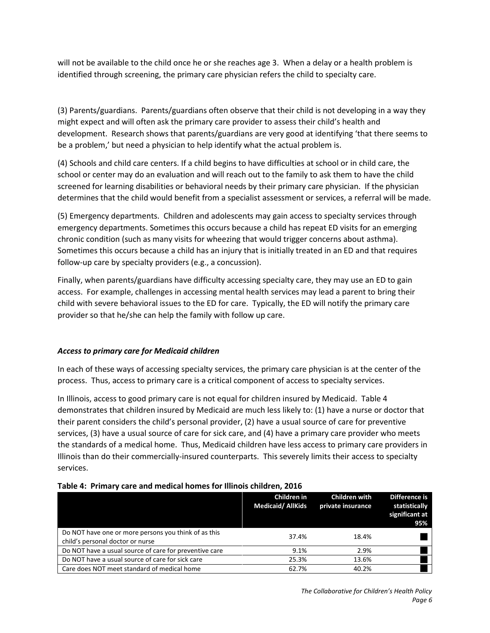will not be available to the child once he or she reaches age 3. When a delay or a health problem is identified through screening, the primary care physician refers the child to specialty care.

(3) Parents/guardians. Parents/guardians often observe that their child is not developing in a way they might expect and will often ask the primary care provider to assess their child's health and development. Research shows that parents/guardians are very good at identifying 'that there seems to be a problem,' but need a physician to help identify what the actual problem is.

(4) Schools and child care centers. If a child begins to have difficulties at school or in child care, the school or center may do an evaluation and will reach out to the family to ask them to have the child screened for learning disabilities or behavioral needs by their primary care physician. If the physician determines that the child would benefit from a specialist assessment or services, a referral will be made.

(5) Emergency departments. Children and adolescents may gain access to specialty services through emergency departments. Sometimes this occurs because a child has repeat ED visits for an emerging chronic condition (such as many visits for wheezing that would trigger concerns about asthma). Sometimes this occurs because a child has an injury that is initially treated in an ED and that requires follow-up care by specialty providers (e.g., a concussion).

Finally, when parents/guardians have difficulty accessing specialty care, they may use an ED to gain access. For example, challenges in accessing mental health services may lead a parent to bring their child with severe behavioral issues to the ED for care. Typically, the ED will notify the primary care provider so that he/she can help the family with follow up care.

#### *Access to primary care for Medicaid children*

In each of these ways of accessing specialty services, the primary care physician is at the center of the process. Thus, access to primary care is a critical component of access to specialty services.

In Illinois, access to good primary care is not equal for children insured by Medicaid. Table 4 demonstrates that children insured by Medicaid are much less likely to: (1) have a nurse or doctor that their parent considers the child's personal provider, (2) have a usual source of care for preventive services, (3) have a usual source of care for sick care, and (4) have a primary care provider who meets the standards of a medical home. Thus, Medicaid children have less access to primary care providers in Illinois than do their commercially-insured counterparts. This severely limits their access to specialty services.

| Table 4. Frilliary care and inequidimentes for immors children, 2010                     |                                         |                                           |                                                         |  |  |
|------------------------------------------------------------------------------------------|-----------------------------------------|-------------------------------------------|---------------------------------------------------------|--|--|
|                                                                                          | Children in<br><b>Medicaid/ AllKids</b> | <b>Children with</b><br>private insurance | Difference is<br>statistically<br>significant at<br>95% |  |  |
| Do NOT have one or more persons you think of as this<br>child's personal doctor or nurse | 37.4%                                   | 18.4%                                     |                                                         |  |  |
| Do NOT have a usual source of care for preventive care                                   | 9.1%                                    | 2.9%                                      |                                                         |  |  |
| Do NOT have a usual source of care for sick care                                         | 25.3%                                   | 13.6%                                     |                                                         |  |  |
| Care does NOT meet standard of medical home                                              | 62.7%                                   | 40.2%                                     |                                                         |  |  |

#### **Table 4: Primary care and medical homes for Illinois children, 2016**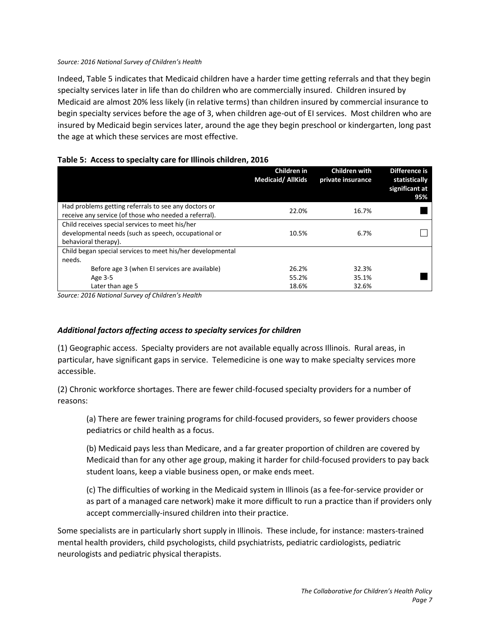#### *Source: 2016 National Survey of Children's Health*

Indeed, Table 5 indicates that Medicaid children have a harder time getting referrals and that they begin specialty services later in life than do children who are commercially insured. Children insured by Medicaid are almost 20% less likely (in relative terms) than children insured by commercial insurance to begin specialty services before the age of 3, when children age-out of EI services. Most children who are insured by Medicaid begin services later, around the age they begin preschool or kindergarten, long past the age at which these services are most effective.

#### **Table 5: Access to specialty care for Illinois children, 2016**

|                                                                                                                                 | Children in<br><b>Medicaid/ AllKids</b> | <b>Children with</b><br>private insurance | Difference is<br>statistically<br>significant at<br>95% |
|---------------------------------------------------------------------------------------------------------------------------------|-----------------------------------------|-------------------------------------------|---------------------------------------------------------|
| Had problems getting referrals to see any doctors or<br>receive any service (of those who needed a referral).                   | 22.0%                                   | 16.7%                                     |                                                         |
| Child receives special services to meet his/her<br>developmental needs (such as speech, occupational or<br>behavioral therapy). | 10.5%                                   | 6.7%                                      |                                                         |
| Child began special services to meet his/her developmental<br>needs.                                                            |                                         |                                           |                                                         |
| Before age 3 (when EI services are available)                                                                                   | 26.2%                                   | 32.3%                                     |                                                         |
| Age 3-5                                                                                                                         | 55.2%                                   | 35.1%                                     |                                                         |
| Later than age 5                                                                                                                | 18.6%                                   | 32.6%                                     |                                                         |

*Source: 2016 National Survey of Children's Health*

#### *Additional factors affecting access to specialty services for children*

(1) Geographic access. Specialty providers are not available equally across Illinois. Rural areas, in particular, have significant gaps in service. Telemedicine is one way to make specialty services more accessible.

(2) Chronic workforce shortages. There are fewer child-focused specialty providers for a number of reasons:

(a) There are fewer training programs for child-focused providers, so fewer providers choose pediatrics or child health as a focus.

(b) Medicaid pays less than Medicare, and a far greater proportion of children are covered by Medicaid than for any other age group, making it harder for child-focused providers to pay back student loans, keep a viable business open, or make ends meet.

(c) The difficulties of working in the Medicaid system in Illinois (as a fee-for-service provider or as part of a managed care network) make it more difficult to run a practice than if providers only accept commercially-insured children into their practice.

Some specialists are in particularly short supply in Illinois. These include, for instance: masters-trained mental health providers, child psychologists, child psychiatrists, pediatric cardiologists, pediatric neurologists and pediatric physical therapists.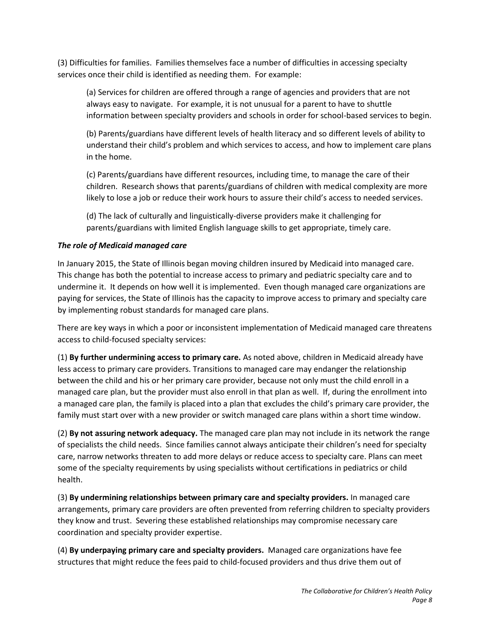(3) Difficulties for families. Families themselves face a number of difficulties in accessing specialty services once their child is identified as needing them. For example:

(a) Services for children are offered through a range of agencies and providers that are not always easy to navigate. For example, it is not unusual for a parent to have to shuttle information between specialty providers and schools in order for school-based services to begin.

(b) Parents/guardians have different levels of health literacy and so different levels of ability to understand their child's problem and which services to access, and how to implement care plans in the home.

(c) Parents/guardians have different resources, including time, to manage the care of their children. Research shows that parents/guardians of children with medical complexity are more likely to lose a job or reduce their work hours to assure their child's access to needed services.

(d) The lack of culturally and linguistically-diverse providers make it challenging for parents/guardians with limited English language skills to get appropriate, timely care.

#### *The role of Medicaid managed care*

In January 2015, the State of Illinois began moving children insured by Medicaid into managed care. This change has both the potential to increase access to primary and pediatric specialty care and to undermine it. It depends on how well it is implemented. Even though managed care organizations are paying for services, the State of Illinois has the capacity to improve access to primary and specialty care by implementing robust standards for managed care plans.

There are key ways in which a poor or inconsistent implementation of Medicaid managed care threatens access to child-focused specialty services:

(1) **By further undermining access to primary care.** As noted above, children in Medicaid already have less access to primary care providers. Transitions to managed care may endanger the relationship between the child and his or her primary care provider, because not only must the child enroll in a managed care plan, but the provider must also enroll in that plan as well. If, during the enrollment into a managed care plan, the family is placed into a plan that excludes the child's primary care provider, the family must start over with a new provider or switch managed care plans within a short time window.

(2) **By not assuring network adequacy.** The managed care plan may not include in its network the range of specialists the child needs. Since families cannot always anticipate their children's need for specialty care, narrow networks threaten to add more delays or reduce access to specialty care. Plans can meet some of the specialty requirements by using specialists without certifications in pediatrics or child health.

(3) **By undermining relationships between primary care and specialty providers.** In managed care arrangements, primary care providers are often prevented from referring children to specialty providers they know and trust. Severing these established relationships may compromise necessary care coordination and specialty provider expertise.

(4) **By underpaying primary care and specialty providers.** Managed care organizations have fee structures that might reduce the fees paid to child-focused providers and thus drive them out of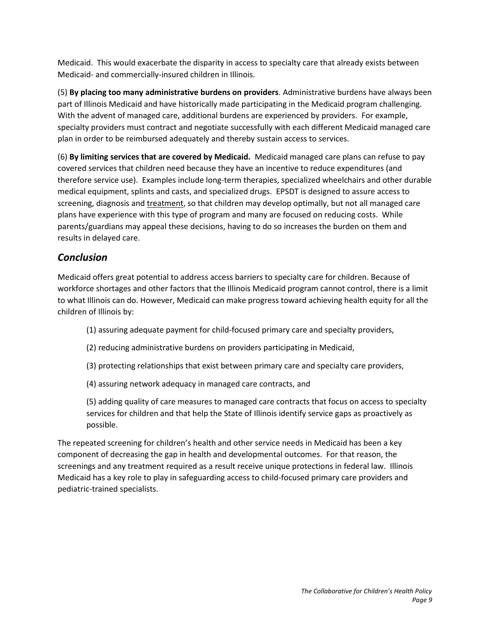Medicaid. This would exacerbate the disparity in access to specialty care that already exists between Medicaid- and commercially-insured children in Illinois.

(5) **By placing too many administrative burdens on providers**. Administrative burdens have always been part of Illinois Medicaid and have historically made participating in the Medicaid program challenging. With the advent of managed care, additional burdens are experienced by providers. For example, specialty providers must contract and negotiate successfully with each different Medicaid managed care plan in order to be reimbursed adequately and thereby sustain access to services.

(6) **By limiting services that are covered by Medicaid.** Medicaid managed care plans can refuse to pay covered services that children need because they have an incentive to reduce expenditures (and therefore service use). Examples include long-term therapies, specialized wheelchairs and other durable medical equipment, splints and casts, and specialized drugs. EPSDT is designed to assure access to screening, diagnosis and treatment, so that children may develop optimally, but not all managed care plans have experience with this type of program and many are focused on reducing costs. While parents/guardians may appeal these decisions, having to do so increases the burden on them and results in delayed care.

### *Conclusion*

Medicaid offers great potential to address access barriers to specialty care for children. Because of workforce shortages and other factors that the Illinois Medicaid program cannot control, there is a limit to what Illinois can do. However, Medicaid can make progress toward achieving health equity for all the children of Illinois by:

- (1) assuring adequate payment for child-focused primary care and specialty providers,
- (2) reducing administrative burdens on providers participating in Medicaid,
- (3) protecting relationships that exist between primary care and specialty care providers,
- (4) assuring network adequacy in managed care contracts, and

(5) adding quality of care measures to managed care contracts that focus on access to specialty services for children and that help the State of Illinois identify service gaps as proactively as possible.

The repeated screening for children's health and other service needs in Medicaid has been a key component of decreasing the gap in health and developmental outcomes. For that reason, the screenings and any treatment required as a result receive unique protections in federal law. Illinois Medicaid has a key role to play in safeguarding access to child-focused primary care providers and pediatric-trained specialists.